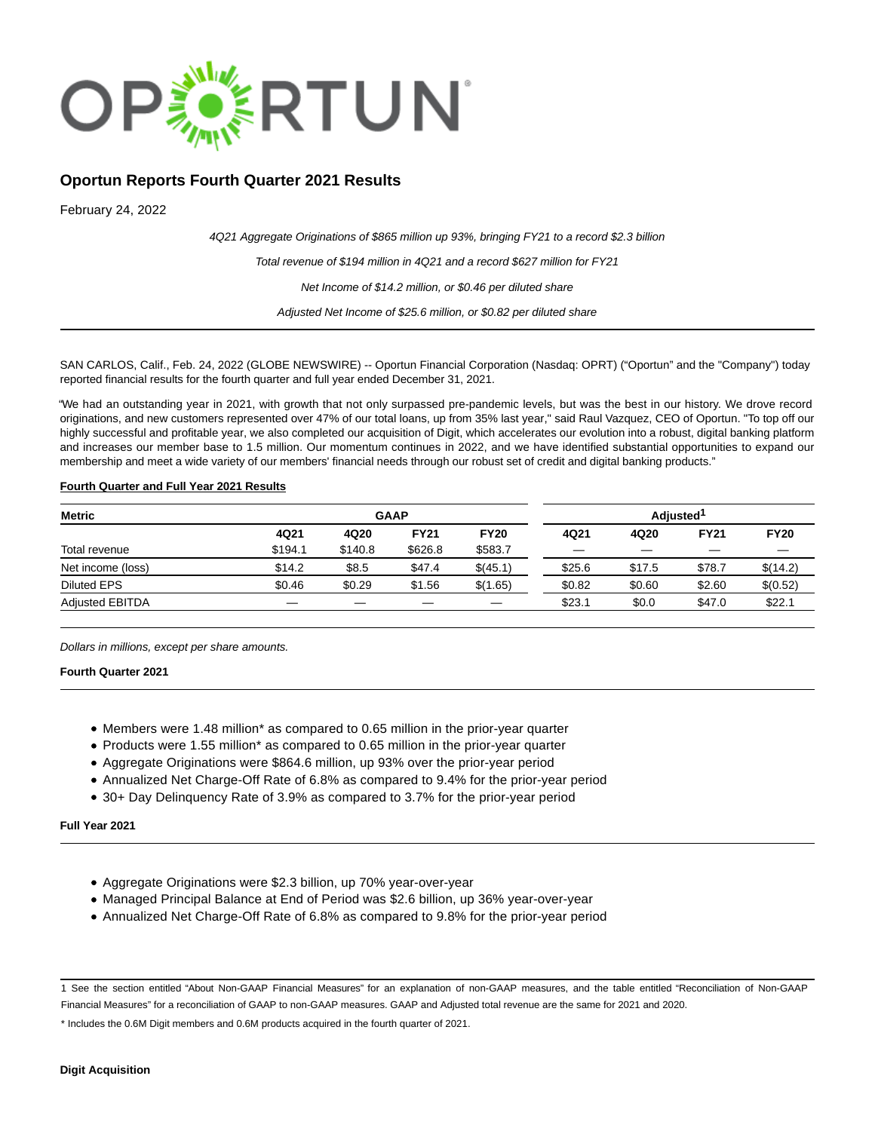

# **Oportun Reports Fourth Quarter 2021 Results**

February 24, 2022

4Q21 Aggregate Originations of \$865 million up 93%, bringing FY21 to a record \$2.3 billion Total revenue of \$194 million in 4Q21 and a record \$627 million for FY21 Net Income of \$14.2 million, or \$0.46 per diluted share Adjusted Net Income of \$25.6 million, or \$0.82 per diluted share

SAN CARLOS, Calif., Feb. 24, 2022 (GLOBE NEWSWIRE) -- Oportun Financial Corporation (Nasdaq: OPRT) ("Oportun" and the "Company") today reported financial results for the fourth quarter and full year ended December 31, 2021.

"We had an outstanding year in 2021, with growth that not only surpassed pre-pandemic levels, but was the best in our history. We drove record originations, and new customers represented over 47% of our total loans, up from 35% last year," said Raul Vazquez, CEO of Oportun. "To top off our highly successful and profitable year, we also completed our acquisition of Digit, which accelerates our evolution into a robust, digital banking platform and increases our member base to 1.5 million. Our momentum continues in 2022, and we have identified substantial opportunities to expand our membership and meet a wide variety of our members' financial needs through our robust set of credit and digital banking products."

# **Fourth Quarter and Full Year 2021 Results**

| Metric<br><b>GAAP</b> |         |         |             |             | Adjusted <sup>1</sup> |        |             |             |  |  |  |
|-----------------------|---------|---------|-------------|-------------|-----------------------|--------|-------------|-------------|--|--|--|
|                       | 4Q21    | 4Q20    | <b>FY21</b> | <b>FY20</b> | 4Q21                  | 4Q20   | <b>FY21</b> | <b>FY20</b> |  |  |  |
| Total revenue         | \$194.1 | \$140.8 | \$626.8     | \$583.7     |                       |        |             |             |  |  |  |
| Net income (loss)     | \$14.2  | \$8.5   | \$47.4      | \$(45.1)    | \$25.6                | \$17.5 | \$78.7      | \$(14.2)    |  |  |  |
| <b>Diluted EPS</b>    | \$0.46  | \$0.29  | \$1.56      | \$(1.65)    | \$0.82                | \$0.60 | \$2.60      | \$(0.52)    |  |  |  |
| Adjusted EBITDA       |         |         |             |             | \$23.1                | \$0.0  | \$47.0      | \$22.1      |  |  |  |

Dollars in millions, except per share amounts.

### **Fourth Quarter 2021**

- Members were 1.48 million\* as compared to 0.65 million in the prior-year quarter
- Products were 1.55 million\* as compared to 0.65 million in the prior-year quarter
- Aggregate Originations were \$864.6 million, up 93% over the prior-year period
- Annualized Net Charge-Off Rate of 6.8% as compared to 9.4% for the prior-year period
- 30+ Day Delinquency Rate of 3.9% as compared to 3.7% for the prior-year period

# **Full Year 2021**

- Aggregate Originations were \$2.3 billion, up 70% year-over-year
- Managed Principal Balance at End of Period was \$2.6 billion, up 36% year-over-year
- Annualized Net Charge-Off Rate of 6.8% as compared to 9.8% for the prior-year period

1 See the section entitled "About Non-GAAP Financial Measures" for an explanation of non-GAAP measures, and the table entitled "Reconciliation of Non-GAAP Financial Measures" for a reconciliation of GAAP to non-GAAP measures. GAAP and Adjusted total revenue are the same for 2021 and 2020.

\* Includes the 0.6M Digit members and 0.6M products acquired in the fourth quarter of 2021.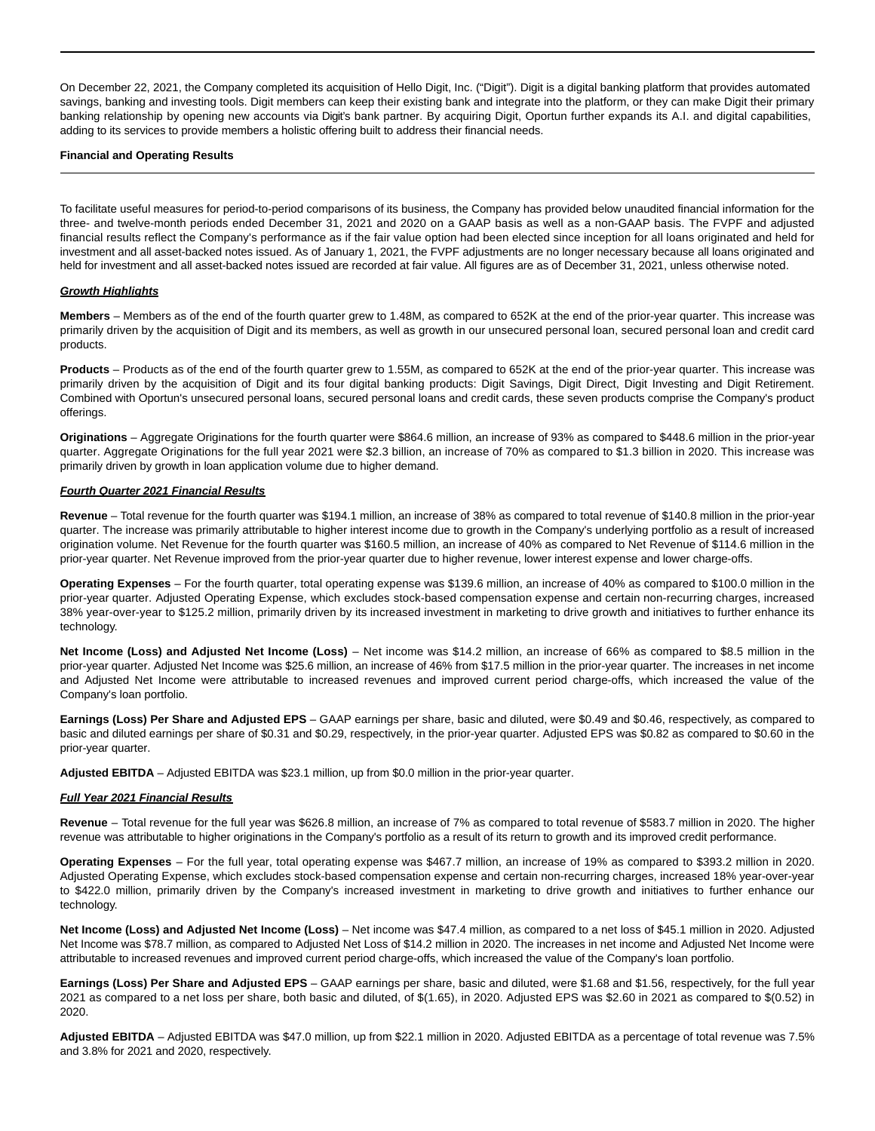On December 22, 2021, the Company completed its acquisition of Hello Digit, Inc. ("Digit"). Digit is a digital banking platform that provides automated savings, banking and investing tools. Digit members can keep their existing bank and integrate into the platform, or they can make Digit their primary banking relationship by opening new accounts via Digit's bank partner. By acquiring Digit, Oportun further expands its A.I. and digital capabilities, adding to its services to provide members a holistic offering built to address their financial needs.

#### **Financial and Operating Results**

To facilitate useful measures for period-to-period comparisons of its business, the Company has provided below unaudited financial information for the three- and twelve-month periods ended December 31, 2021 and 2020 on a GAAP basis as well as a non-GAAP basis. The FVPF and adjusted financial results reflect the Company's performance as if the fair value option had been elected since inception for all loans originated and held for investment and all asset-backed notes issued. As of January 1, 2021, the FVPF adjustments are no longer necessary because all loans originated and held for investment and all asset-backed notes issued are recorded at fair value. All figures are as of December 31, 2021, unless otherwise noted.

### **Growth Highlights**

**Members** – Members as of the end of the fourth quarter grew to 1.48M, as compared to 652K at the end of the prior-year quarter. This increase was primarily driven by the acquisition of Digit and its members, as well as growth in our unsecured personal loan, secured personal loan and credit card products.

**Products** – Products as of the end of the fourth quarter grew to 1.55M, as compared to 652K at the end of the prior-year quarter. This increase was primarily driven by the acquisition of Digit and its four digital banking products: Digit Savings, Digit Direct, Digit Investing and Digit Retirement. Combined with Oportun's unsecured personal loans, secured personal loans and credit cards, these seven products comprise the Company's product offerings.

**Originations** – Aggregate Originations for the fourth quarter were \$864.6 million, an increase of 93% as compared to \$448.6 million in the prior-year quarter. Aggregate Originations for the full year 2021 were \$2.3 billion, an increase of 70% as compared to \$1.3 billion in 2020. This increase was primarily driven by growth in loan application volume due to higher demand.

### **Fourth Quarter 2021 Financial Results**

**Revenue** – Total revenue for the fourth quarter was \$194.1 million, an increase of 38% as compared to total revenue of \$140.8 million in the prior-year quarter. The increase was primarily attributable to higher interest income due to growth in the Company's underlying portfolio as a result of increased origination volume. Net Revenue for the fourth quarter was \$160.5 million, an increase of 40% as compared to Net Revenue of \$114.6 million in the prior-year quarter. Net Revenue improved from the prior-year quarter due to higher revenue, lower interest expense and lower charge-offs.

**Operating Expenses** – For the fourth quarter, total operating expense was \$139.6 million, an increase of 40% as compared to \$100.0 million in the prior-year quarter. Adjusted Operating Expense, which excludes stock-based compensation expense and certain non-recurring charges, increased 38% year-over-year to \$125.2 million, primarily driven by its increased investment in marketing to drive growth and initiatives to further enhance its technology.

**Net Income (Loss) and Adjusted Net Income (Loss)** – Net income was \$14.2 million, an increase of 66% as compared to \$8.5 million in the prior-year quarter. Adjusted Net Income was \$25.6 million, an increase of 46% from \$17.5 million in the prior-year quarter. The increases in net income and Adjusted Net Income were attributable to increased revenues and improved current period charge-offs, which increased the value of the Company's loan portfolio.

**Earnings (Loss) Per Share and Adjusted EPS** – GAAP earnings per share, basic and diluted, were \$0.49 and \$0.46, respectively, as compared to basic and diluted earnings per share of \$0.31 and \$0.29, respectively, in the prior-year quarter. Adjusted EPS was \$0.82 as compared to \$0.60 in the prior-year quarter.

**Adjusted EBITDA** – Adjusted EBITDA was \$23.1 million, up from \$0.0 million in the prior-year quarter.

### **Full Year 2021 Financial Results**

**Revenue** – Total revenue for the full year was \$626.8 million, an increase of 7% as compared to total revenue of \$583.7 million in 2020. The higher revenue was attributable to higher originations in the Company's portfolio as a result of its return to growth and its improved credit performance.

**Operating Expenses** – For the full year, total operating expense was \$467.7 million, an increase of 19% as compared to \$393.2 million in 2020. Adjusted Operating Expense, which excludes stock-based compensation expense and certain non-recurring charges, increased 18% year-over-year to \$422.0 million, primarily driven by the Company's increased investment in marketing to drive growth and initiatives to further enhance our technology.

**Net Income (Loss) and Adjusted Net Income (Loss)** – Net income was \$47.4 million, as compared to a net loss of \$45.1 million in 2020. Adjusted Net Income was \$78.7 million, as compared to Adjusted Net Loss of \$14.2 million in 2020. The increases in net income and Adjusted Net Income were attributable to increased revenues and improved current period charge-offs, which increased the value of the Company's loan portfolio.

**Earnings (Loss) Per Share and Adjusted EPS** – GAAP earnings per share, basic and diluted, were \$1.68 and \$1.56, respectively, for the full year 2021 as compared to a net loss per share, both basic and diluted, of \$(1.65), in 2020. Adjusted EPS was \$2.60 in 2021 as compared to \$(0.52) in 2020.

**Adjusted EBITDA** – Adjusted EBITDA was \$47.0 million, up from \$22.1 million in 2020. Adjusted EBITDA as a percentage of total revenue was 7.5% and 3.8% for 2021 and 2020, respectively.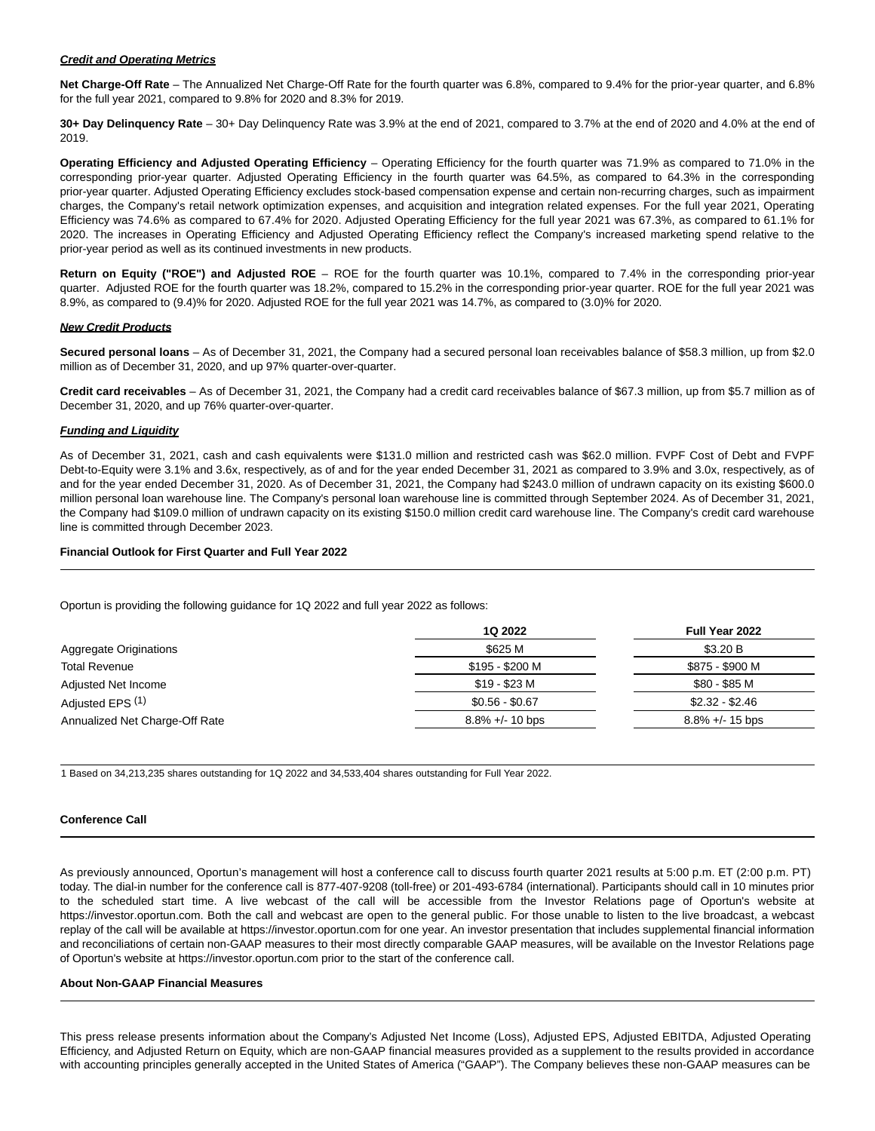#### **Credit and Operating Metrics**

**Net Charge-Off Rate** – The Annualized Net Charge-Off Rate for the fourth quarter was 6.8%, compared to 9.4% for the prior-year quarter, and 6.8% for the full year 2021, compared to 9.8% for 2020 and 8.3% for 2019.

**30+ Day Delinquency Rate** – 30+ Day Delinquency Rate was 3.9% at the end of 2021, compared to 3.7% at the end of 2020 and 4.0% at the end of 2019.

**Operating Efficiency and Adjusted Operating Efficiency** – Operating Efficiency for the fourth quarter was 71.9% as compared to 71.0% in the corresponding prior-year quarter. Adjusted Operating Efficiency in the fourth quarter was 64.5%, as compared to 64.3% in the corresponding prior-year quarter. Adjusted Operating Efficiency excludes stock-based compensation expense and certain non-recurring charges, such as impairment charges, the Company's retail network optimization expenses, and acquisition and integration related expenses. For the full year 2021, Operating Efficiency was 74.6% as compared to 67.4% for 2020. Adjusted Operating Efficiency for the full year 2021 was 67.3%, as compared to 61.1% for 2020. The increases in Operating Efficiency and Adjusted Operating Efficiency reflect the Company's increased marketing spend relative to the prior-year period as well as its continued investments in new products.

**Return on Equity ("ROE") and Adjusted ROE** – ROE for the fourth quarter was 10.1%, compared to 7.4% in the corresponding prior-year quarter. Adjusted ROE for the fourth quarter was 18.2%, compared to 15.2% in the corresponding prior-year quarter. ROE for the full year 2021 was 8.9%, as compared to (9.4)% for 2020. Adjusted ROE for the full year 2021 was 14.7%, as compared to (3.0)% for 2020.

### **New Credit Products**

**Secured personal loans** – As of December 31, 2021, the Company had a secured personal loan receivables balance of \$58.3 million, up from \$2.0 million as of December 31, 2020, and up 97% quarter-over-quarter.

**Credit card receivables** – As of December 31, 2021, the Company had a credit card receivables balance of \$67.3 million, up from \$5.7 million as of December 31, 2020, and up 76% quarter-over-quarter.

#### **Funding and Liquidity**

As of December 31, 2021, cash and cash equivalents were \$131.0 million and restricted cash was \$62.0 million. FVPF Cost of Debt and FVPF Debt-to-Equity were 3.1% and 3.6x, respectively, as of and for the year ended December 31, 2021 as compared to 3.9% and 3.0x, respectively, as of and for the year ended December 31, 2020. As of December 31, 2021, the Company had \$243.0 million of undrawn capacity on its existing \$600.0 million personal loan warehouse line. The Company's personal loan warehouse line is committed through September 2024. As of December 31, 2021, the Company had \$109.0 million of undrawn capacity on its existing \$150.0 million credit card warehouse line. The Company's credit card warehouse line is committed through December 2023.

# **Financial Outlook for First Quarter and Full Year 2022**

Oportun is providing the following guidance for 1Q 2022 and full year 2022 as follows:

|                                | 1Q 2022            | <b>Full Year 2022</b> |  |  |  |  |
|--------------------------------|--------------------|-----------------------|--|--|--|--|
| Aggregate Originations         | \$625 M            | \$3.20 B              |  |  |  |  |
| <b>Total Revenue</b>           | \$195 - \$200 M    | \$875 - \$900 M       |  |  |  |  |
| Adjusted Net Income            | \$19 - \$23 M      | \$80 - \$85 M         |  |  |  |  |
| Adjusted EPS <sup>(1)</sup>    | $$0.56 - $0.67$    | $$2.32 - $2.46$       |  |  |  |  |
| Annualized Net Charge-Off Rate | $8.8\% +/- 10$ bps | $8.8\% +/- 15$ bps    |  |  |  |  |

1 Based on 34,213,235 shares outstanding for 1Q 2022 and 34,533,404 shares outstanding for Full Year 2022.

#### **Conference Call**

As previously announced, Oportun's management will host a conference call to discuss fourth quarter 2021 results at 5:00 p.m. ET (2:00 p.m. PT) today. The dial-in number for the conference call is 877-407-9208 (toll-free) or 201-493-6784 (international). Participants should call in 10 minutes prior to the scheduled start time. A live webcast of the call will be accessible from the Investor Relations page of Oportun's website at https://investor.oportun.com. Both the call and webcast are open to the general public. For those unable to listen to the live broadcast, a webcast replay of the call will be available at https://investor.oportun.com for one year. An investor presentation that includes supplemental financial information and reconciliations of certain non-GAAP measures to their most directly comparable GAAP measures, will be available on the Investor Relations page of Oportun's website at https://investor.oportun.com prior to the start of the conference call.

#### **About Non-GAAP Financial Measures**

This press release presents information about the Company's Adjusted Net Income (Loss), Adjusted EPS, Adjusted EBITDA, Adjusted Operating Efficiency, and Adjusted Return on Equity, which are non-GAAP financial measures provided as a supplement to the results provided in accordance with accounting principles generally accepted in the United States of America ("GAAP"). The Company believes these non-GAAP measures can be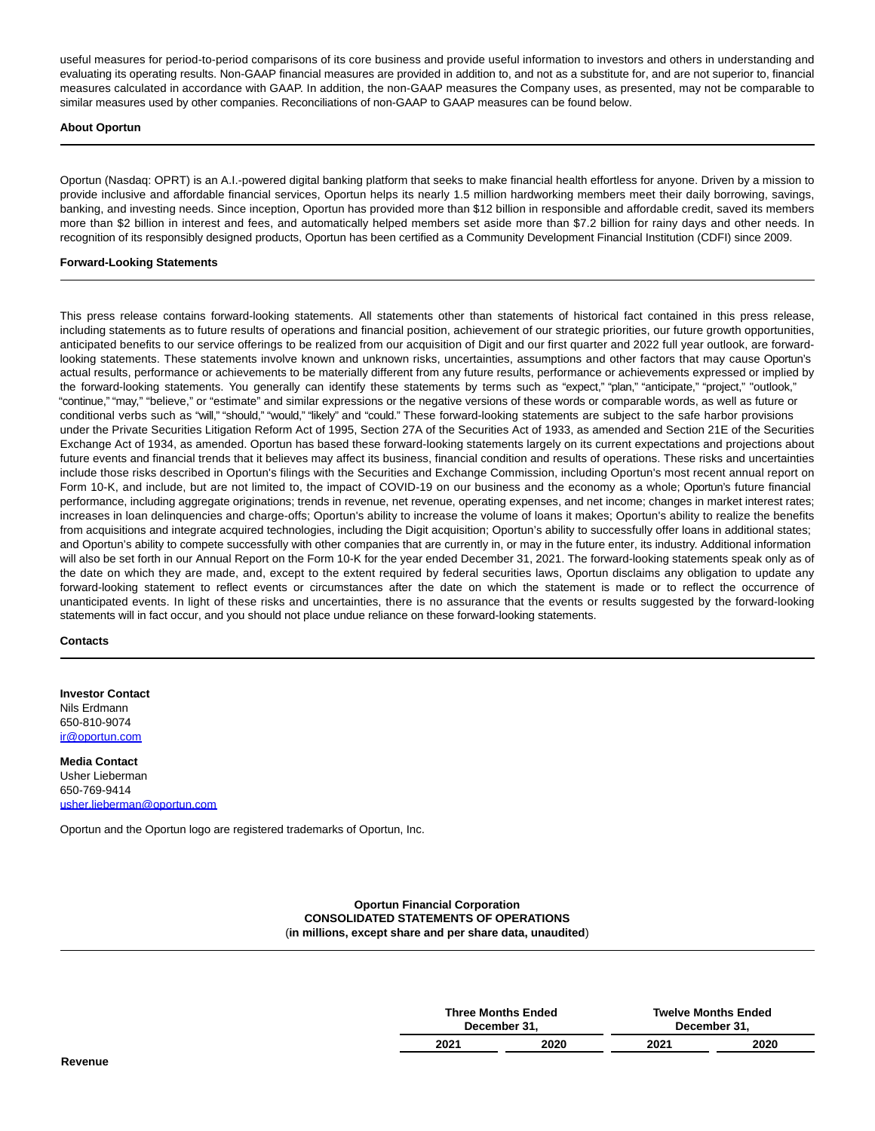useful measures for period-to-period comparisons of its core business and provide useful information to investors and others in understanding and evaluating its operating results. Non-GAAP financial measures are provided in addition to, and not as a substitute for, and are not superior to, financial measures calculated in accordance with GAAP. In addition, the non-GAAP measures the Company uses, as presented, may not be comparable to similar measures used by other companies. Reconciliations of non-GAAP to GAAP measures can be found below.

#### **About Oportun**

Oportun (Nasdaq: OPRT) is an A.I.-powered digital banking platform that seeks to make financial health effortless for anyone. Driven by a mission to provide inclusive and affordable financial services, Oportun helps its nearly 1.5 million hardworking members meet their daily borrowing, savings, banking, and investing needs. Since inception, Oportun has provided more than \$12 billion in responsible and affordable credit, saved its members more than \$2 billion in interest and fees, and automatically helped members set aside more than \$7.2 billion for rainy days and other needs. In recognition of its responsibly designed products, Oportun has been certified as a Community Development Financial Institution (CDFI) since 2009.

#### **Forward-Looking Statements**

This press release contains forward-looking statements. All statements other than statements of historical fact contained in this press release, including statements as to future results of operations and financial position, achievement of our strategic priorities, our future growth opportunities, anticipated benefits to our service offerings to be realized from our acquisition of Digit and our first quarter and 2022 full year outlook, are forwardlooking statements. These statements involve known and unknown risks, uncertainties, assumptions and other factors that may cause Oportun's actual results, performance or achievements to be materially different from any future results, performance or achievements expressed or implied by the forward-looking statements. You generally can identify these statements by terms such as "expect," "plan," "anticipate," "project," "outlook," "continue," "may," "believe," or "estimate" and similar expressions or the negative versions of these words or comparable words, as well as future or conditional verbs such as "will," "should," "would," "likely" and "could." These forward-looking statements are subject to the safe harbor provisions under the Private Securities Litigation Reform Act of 1995, Section 27A of the Securities Act of 1933, as amended and Section 21E of the Securities Exchange Act of 1934, as amended. Oportun has based these forward-looking statements largely on its current expectations and projections about future events and financial trends that it believes may affect its business, financial condition and results of operations. These risks and uncertainties include those risks described in Oportun's filings with the Securities and Exchange Commission, including Oportun's most recent annual report on Form 10-K, and include, but are not limited to, the impact of COVID-19 on our business and the economy as a whole; Oportun's future financial performance, including aggregate originations; trends in revenue, net revenue, operating expenses, and net income; changes in market interest rates; increases in loan delinquencies and charge-offs; Oportun's ability to increase the volume of loans it makes; Oportun's ability to realize the benefits from acquisitions and integrate acquired technologies, including the Digit acquisition; Oportun's ability to successfully offer loans in additional states; and Oportun's ability to compete successfully with other companies that are currently in, or may in the future enter, its industry. Additional information will also be set forth in our Annual Report on the Form 10-K for the year ended December 31, 2021. The forward-looking statements speak only as of the date on which they are made, and, except to the extent required by federal securities laws, Oportun disclaims any obligation to update any forward-looking statement to reflect events or circumstances after the date on which the statement is made or to reflect the occurrence of unanticipated events. In light of these risks and uncertainties, there is no assurance that the events or results suggested by the forward-looking statements will in fact occur, and you should not place undue reliance on these forward-looking statements.

#### **Contacts**

### **Investor Contact** Nils Erdmann 650-810-9074 [ir@oportun.com](https://www.globenewswire.com/Tracker?data=-2j9BKCkKs-TDif8LMmKSjSK9mLSTwE2d2h0tFE3Ji-puZWJd0wXKJLVOZiF4OcP3DR5xJLymBe5FLDFx2vdvw==)

#### **Media Contact**

Usher Lieberman 650-769-9414 [usher.lieberman@oportun.com](https://www.globenewswire.com/Tracker?data=zvppRN9TWBshlPz-bCeC91Avrwz47nBgSNQZQoRCMihIBENrQ3przKEtITv4_TcGyHvATaQ8-ecQ8SV_lDl0r2qb2g8mHgq6U0PiadZxsix6QSSUOwkYMmcUQMcQIZHF)

Oportun and the Oportun logo are registered trademarks of Oportun, Inc.

**Oportun Financial Corporation CONSOLIDATED STATEMENTS OF OPERATIONS** (**in millions, except share and per share data, unaudited**)

| <b>Three Months Ended</b><br>December 31. |      |      | <b>Twelve Months Ended</b><br>December 31.<br>2020 |  |
|-------------------------------------------|------|------|----------------------------------------------------|--|
| 2021                                      | 2020 | 2021 |                                                    |  |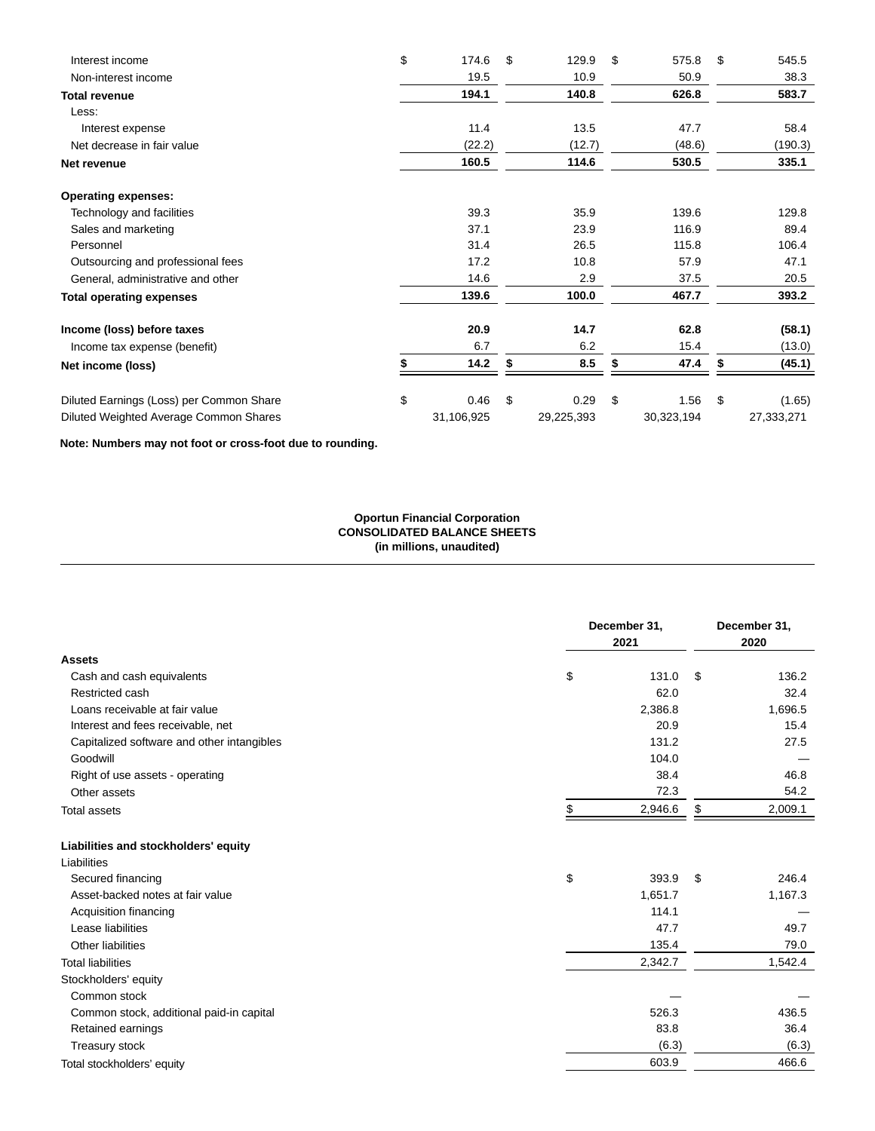| Interest income                          | \$<br>174.6 | \$<br>129.9 | \$<br>575.8 | \$ | 545.5      |
|------------------------------------------|-------------|-------------|-------------|----|------------|
| Non-interest income                      | 19.5        | 10.9        | 50.9        |    | 38.3       |
| <b>Total revenue</b>                     | 194.1       | 140.8       | 626.8       |    | 583.7      |
| Less:                                    |             |             |             |    |            |
| Interest expense                         | 11.4        | 13.5        | 47.7        |    | 58.4       |
| Net decrease in fair value               | (22.2)      | (12.7)      | (48.6)      |    | (190.3)    |
| Net revenue                              | 160.5       | 114.6       | 530.5       |    | 335.1      |
| <b>Operating expenses:</b>               |             |             |             |    |            |
| Technology and facilities                | 39.3        | 35.9        | 139.6       |    | 129.8      |
| Sales and marketing                      | 37.1        | 23.9        | 116.9       |    | 89.4       |
| Personnel                                | 31.4        | 26.5        | 115.8       |    | 106.4      |
| Outsourcing and professional fees        | 17.2        | 10.8        | 57.9        |    | 47.1       |
| General, administrative and other        | 14.6        | 2.9         | 37.5        |    | 20.5       |
| <b>Total operating expenses</b>          | 139.6       | 100.0       | 467.7       |    | 393.2      |
| Income (loss) before taxes               | 20.9        | 14.7        | 62.8        |    | (58.1)     |
| Income tax expense (benefit)             | 6.7         | 6.2         | 15.4        |    | (13.0)     |
| Net income (loss)                        | 14.2        | 8.5         | 47.4        | S  | (45.1)     |
| Diluted Earnings (Loss) per Common Share | \$<br>0.46  | \$<br>0.29  | \$<br>1.56  | \$ | (1.65)     |
| Diluted Weighted Average Common Shares   | 31,106,925  | 29,225,393  | 30,323,194  |    | 27,333,271 |

#### **Oportun Financial Corporation CONSOLIDATED BALANCE SHEETS (in millions, unaudited)**

|                                                     | December 31,<br>2021 | December 31,<br>2020 |         |  |  |
|-----------------------------------------------------|----------------------|----------------------|---------|--|--|
| <b>Assets</b>                                       |                      |                      |         |  |  |
| \$<br>Cash and cash equivalents                     | 131.0                | \$                   | 136.2   |  |  |
| Restricted cash                                     | 62.0                 |                      | 32.4    |  |  |
| Loans receivable at fair value                      | 2,386.8              |                      | 1,696.5 |  |  |
| Interest and fees receivable, net                   | 20.9                 |                      | 15.4    |  |  |
| Capitalized software and other intangibles          | 131.2                |                      | 27.5    |  |  |
| Goodwill                                            | 104.0                |                      |         |  |  |
| Right of use assets - operating                     | 38.4                 |                      | 46.8    |  |  |
| Other assets                                        | 72.3                 |                      | 54.2    |  |  |
| \$<br><b>Total assets</b>                           | 2,946.6              | \$                   | 2,009.1 |  |  |
| Liabilities and stockholders' equity<br>Liabilities |                      |                      |         |  |  |
| \$<br>Secured financing                             | 393.9                | \$                   | 246.4   |  |  |
| Asset-backed notes at fair value                    | 1,651.7              |                      | 1,167.3 |  |  |
| Acquisition financing                               | 114.1                |                      |         |  |  |
| Lease liabilities                                   | 47.7                 |                      | 49.7    |  |  |
| Other liabilities                                   | 135.4                |                      | 79.0    |  |  |
| <b>Total liabilities</b>                            | 2,342.7              |                      | 1,542.4 |  |  |
| Stockholders' equity                                |                      |                      |         |  |  |
| Common stock                                        |                      |                      |         |  |  |
| Common stock, additional paid-in capital            | 526.3                |                      | 436.5   |  |  |
| Retained earnings                                   | 83.8                 |                      | 36.4    |  |  |
| Treasury stock                                      | (6.3)                |                      | (6.3)   |  |  |
| Total stockholders' equity                          | 603.9                |                      | 466.6   |  |  |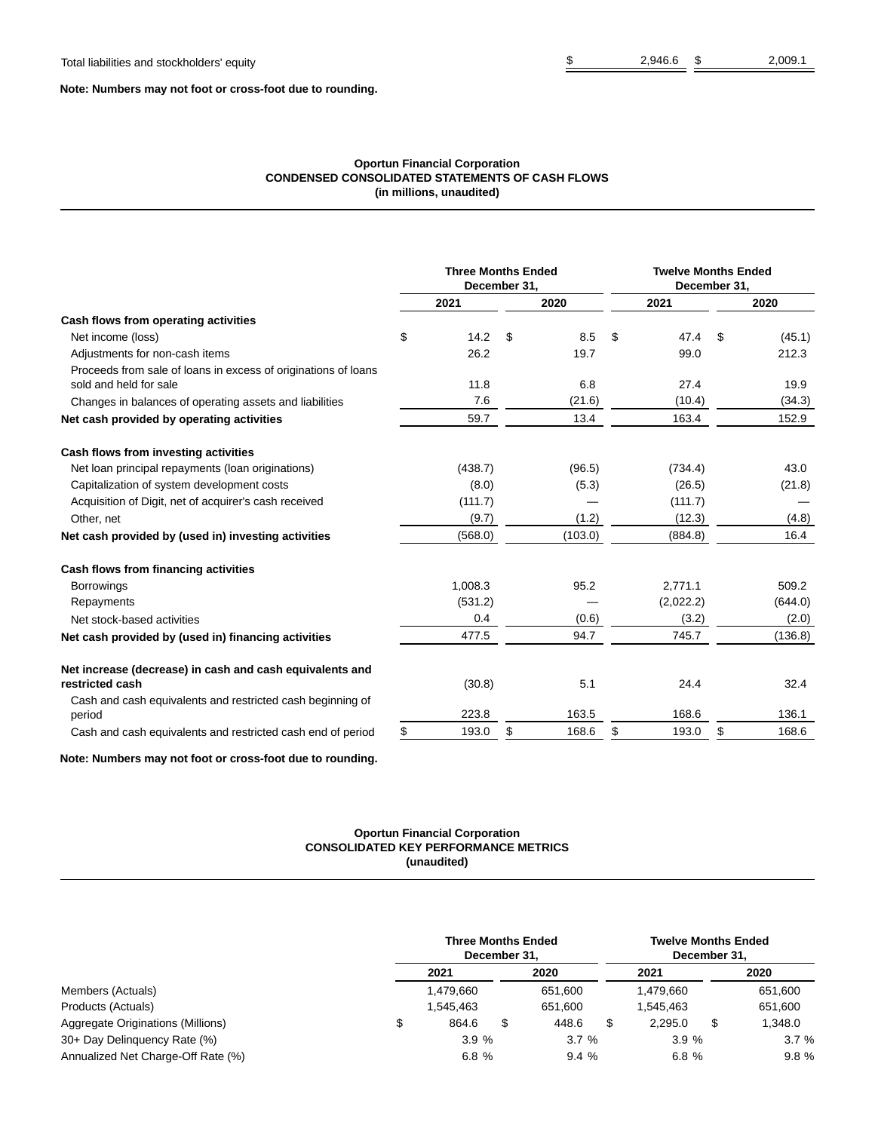# **Oportun Financial Corporation CONDENSED CONSOLIDATED STATEMENTS OF CASH FLOWS (in millions, unaudited)**

|                                                                                          | <b>Three Months Ended</b><br>December 31, |         |    | <b>Twelve Months Ended</b><br>December 31, |             |    |         |
|------------------------------------------------------------------------------------------|-------------------------------------------|---------|----|--------------------------------------------|-------------|----|---------|
|                                                                                          |                                           | 2021    |    | 2020                                       | 2021        |    | 2020    |
| Cash flows from operating activities                                                     |                                           |         |    |                                            |             |    |         |
| Net income (loss)                                                                        | \$                                        | 14.2    | \$ | 8.5                                        | \$<br>47.4  | \$ | (45.1)  |
| Adjustments for non-cash items                                                           |                                           | 26.2    |    | 19.7                                       | 99.0        |    | 212.3   |
| Proceeds from sale of loans in excess of originations of loans<br>sold and held for sale |                                           | 11.8    |    | 6.8                                        | 27.4        |    | 19.9    |
| Changes in balances of operating assets and liabilities                                  |                                           | 7.6     |    | (21.6)                                     | (10.4)      |    | (34.3)  |
| Net cash provided by operating activities                                                |                                           | 59.7    |    | 13.4                                       | 163.4       |    | 152.9   |
| Cash flows from investing activities                                                     |                                           |         |    |                                            |             |    |         |
| Net loan principal repayments (loan originations)                                        |                                           | (438.7) |    | (96.5)                                     | (734.4)     |    | 43.0    |
| Capitalization of system development costs                                               |                                           | (8.0)   |    | (5.3)                                      | (26.5)      |    | (21.8)  |
| Acquisition of Digit, net of acquirer's cash received                                    |                                           | (111.7) |    |                                            | (111.7)     |    |         |
| Other, net                                                                               |                                           | (9.7)   |    | (1.2)                                      | (12.3)      |    | (4.8)   |
| Net cash provided by (used in) investing activities                                      |                                           | (568.0) |    | (103.0)                                    | (884.8)     |    | 16.4    |
| Cash flows from financing activities                                                     |                                           |         |    |                                            |             |    |         |
| <b>Borrowings</b>                                                                        |                                           | 1,008.3 |    | 95.2                                       | 2,771.1     |    | 509.2   |
| Repayments                                                                               |                                           | (531.2) |    |                                            | (2,022.2)   |    | (644.0) |
| Net stock-based activities                                                               |                                           | 0.4     |    | (0.6)                                      | (3.2)       |    | (2.0)   |
| Net cash provided by (used in) financing activities                                      |                                           | 477.5   |    | 94.7                                       | 745.7       |    | (136.8) |
| Net increase (decrease) in cash and cash equivalents and<br>restricted cash              |                                           | (30.8)  |    | 5.1                                        | 24.4        |    | 32.4    |
| Cash and cash equivalents and restricted cash beginning of<br>period                     |                                           | 223.8   |    | 163.5                                      | 168.6       |    | 136.1   |
| Cash and cash equivalents and restricted cash end of period                              | \$                                        | 193.0   | \$ | 168.6                                      | \$<br>193.0 | \$ | 168.6   |

**Note: Numbers may not foot or cross-foot due to rounding.**

# **Oportun Financial Corporation CONSOLIDATED KEY PERFORMANCE METRICS (unaudited)**

|                                    | <b>Three Months Ended</b><br>December 31. |    |         |               | <b>Twelve Months Ended</b><br>December 31. |         |  |  |
|------------------------------------|-------------------------------------------|----|---------|---------------|--------------------------------------------|---------|--|--|
|                                    | 2021                                      |    | 2020    | 2021          |                                            | 2020    |  |  |
| Members (Actuals)                  | 1.479.660                                 |    | 651.600 | 1.479.660     |                                            | 651,600 |  |  |
| Products (Actuals)                 | 1.545.463                                 |    | 651,600 | 1.545.463     |                                            | 651,600 |  |  |
| Aggregate Originations (Millions)  | 864.6                                     | \$ | 448.6   | \$<br>2.295.0 | S                                          | 1,348.0 |  |  |
| 30+ Day Delinguency Rate (%)       | 3.9%                                      |    | 3.7%    | 3.9%          |                                            | 3.7%    |  |  |
| Annualized Net Charge-Off Rate (%) | 6.8%                                      |    | 9.4%    | 6.8%          |                                            | 9.8%    |  |  |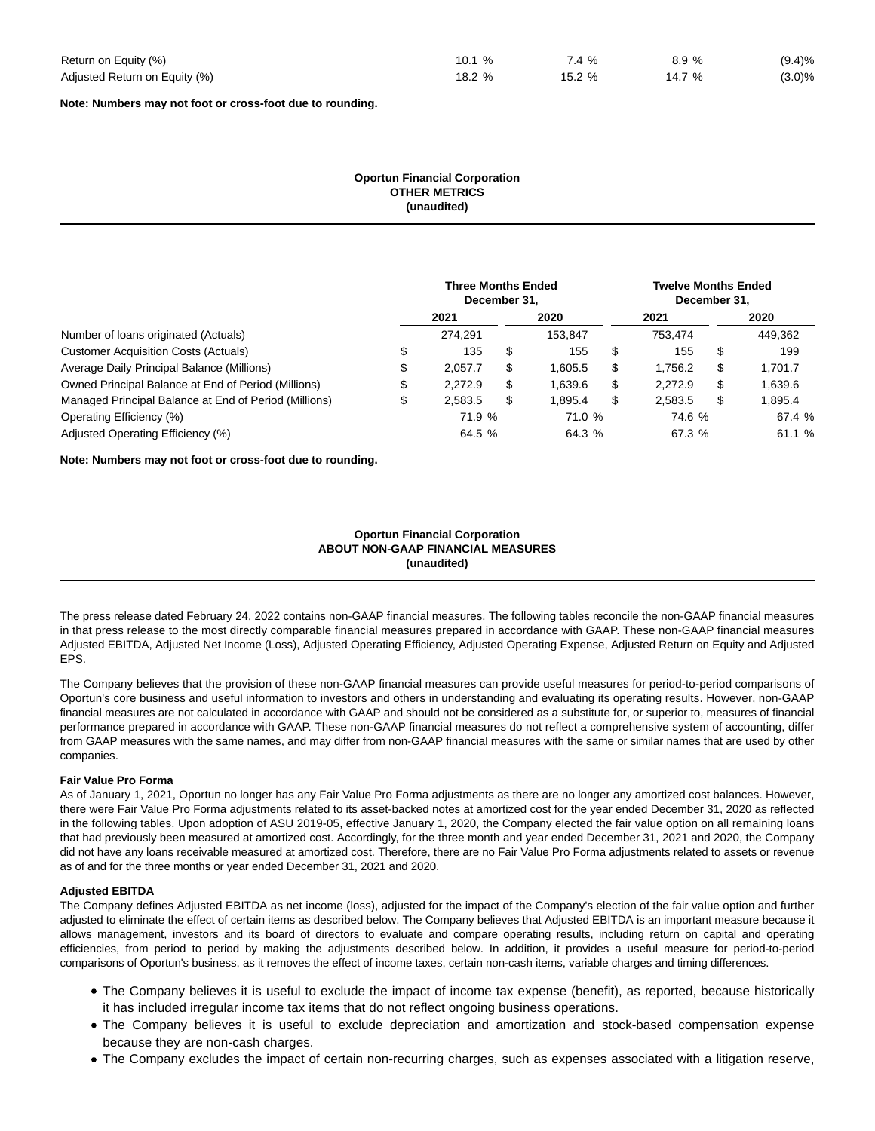| Return on Equity (%)          | 10.1%  | 7.4 %  | 8.9%   | (9.4)%    |
|-------------------------------|--------|--------|--------|-----------|
| Adjusted Return on Equity (%) | 18.2 % | 15.2 % | 14.7 % | $(3.0)\%$ |

# **Oportun Financial Corporation OTHER METRICS (unaudited)**

|                                                       | <b>Three Months Ended</b><br>December 31, |         |    |         | <b>Twelve Months Ended</b><br>December 31. |         |    |         |
|-------------------------------------------------------|-------------------------------------------|---------|----|---------|--------------------------------------------|---------|----|---------|
|                                                       |                                           | 2021    |    | 2020    |                                            | 2021    |    | 2020    |
| Number of Ioans originated (Actuals)                  |                                           | 274.291 |    | 153.847 |                                            | 753.474 |    | 449,362 |
| <b>Customer Acquisition Costs (Actuals)</b>           | J                                         | 135     | \$ | 155     | æ.                                         | 155     | S  | 199     |
| Average Daily Principal Balance (Millions)            | \$                                        | 2.057.7 | \$ | 1.605.5 | S                                          | 1.756.2 | S  | 1,701.7 |
| Owned Principal Balance at End of Period (Millions)   | \$                                        | 2.272.9 | \$ | 1.639.6 | S                                          | 2.272.9 | \$ | 1,639.6 |
| Managed Principal Balance at End of Period (Millions) | \$                                        | 2.583.5 | \$ | 1.895.4 | \$                                         | 2.583.5 | \$ | 1,895.4 |
| Operating Efficiency (%)                              |                                           | 71.9 %  |    | 71.0 %  |                                            | 74.6 %  |    | 67.4 %  |
| Adjusted Operating Efficiency (%)                     |                                           | 64.5 %  |    | 64.3 %  |                                            | 67.3 %  |    | 61.1 %  |

**Note: Numbers may not foot or cross-foot due to rounding.**

#### **Oportun Financial Corporation ABOUT NON-GAAP FINANCIAL MEASURES (unaudited)**

The press release dated February 24, 2022 contains non-GAAP financial measures. The following tables reconcile the non-GAAP financial measures in that press release to the most directly comparable financial measures prepared in accordance with GAAP. These non-GAAP financial measures Adjusted EBITDA, Adjusted Net Income (Loss), Adjusted Operating Efficiency, Adjusted Operating Expense, Adjusted Return on Equity and Adjusted EPS.

The Company believes that the provision of these non-GAAP financial measures can provide useful measures for period-to-period comparisons of Oportun's core business and useful information to investors and others in understanding and evaluating its operating results. However, non-GAAP financial measures are not calculated in accordance with GAAP and should not be considered as a substitute for, or superior to, measures of financial performance prepared in accordance with GAAP. These non-GAAP financial measures do not reflect a comprehensive system of accounting, differ from GAAP measures with the same names, and may differ from non-GAAP financial measures with the same or similar names that are used by other companies.

#### **Fair Value Pro Forma**

As of January 1, 2021, Oportun no longer has any Fair Value Pro Forma adjustments as there are no longer any amortized cost balances. However, there were Fair Value Pro Forma adjustments related to its asset-backed notes at amortized cost for the year ended December 31, 2020 as reflected in the following tables. Upon adoption of ASU 2019-05, effective January 1, 2020, the Company elected the fair value option on all remaining loans that had previously been measured at amortized cost. Accordingly, for the three month and year ended December 31, 2021 and 2020, the Company did not have any loans receivable measured at amortized cost. Therefore, there are no Fair Value Pro Forma adjustments related to assets or revenue as of and for the three months or year ended December 31, 2021 and 2020.

### **Adjusted EBITDA**

The Company defines Adjusted EBITDA as net income (loss), adjusted for the impact of the Company's election of the fair value option and further adjusted to eliminate the effect of certain items as described below. The Company believes that Adjusted EBITDA is an important measure because it allows management, investors and its board of directors to evaluate and compare operating results, including return on capital and operating efficiencies, from period to period by making the adjustments described below. In addition, it provides a useful measure for period-to-period comparisons of Oportun's business, as it removes the effect of income taxes, certain non-cash items, variable charges and timing differences.

- The Company believes it is useful to exclude the impact of income tax expense (benefit), as reported, because historically it has included irregular income tax items that do not reflect ongoing business operations.
- The Company believes it is useful to exclude depreciation and amortization and stock-based compensation expense because they are non-cash charges.
- The Company excludes the impact of certain non-recurring charges, such as expenses associated with a litigation reserve,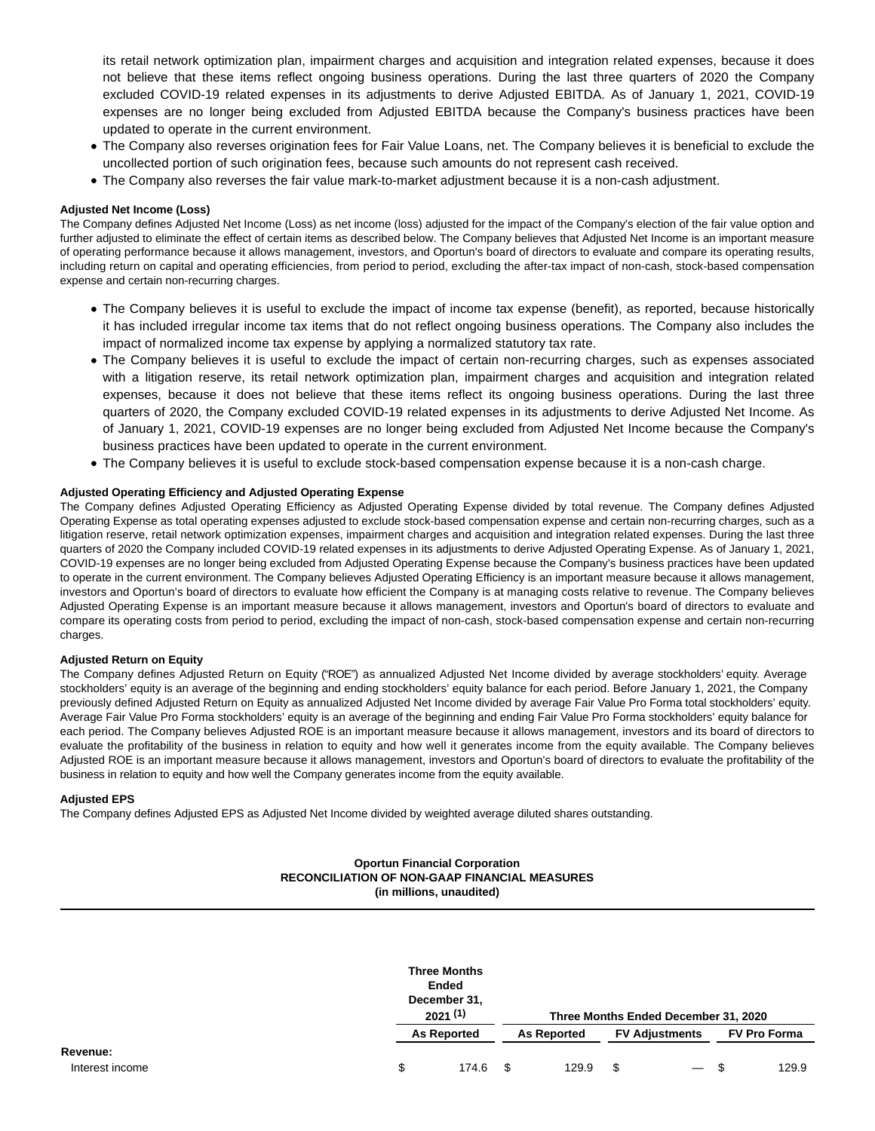its retail network optimization plan, impairment charges and acquisition and integration related expenses, because it does not believe that these items reflect ongoing business operations. During the last three quarters of 2020 the Company excluded COVID-19 related expenses in its adjustments to derive Adjusted EBITDA. As of January 1, 2021, COVID-19 expenses are no longer being excluded from Adjusted EBITDA because the Company's business practices have been updated to operate in the current environment.

- The Company also reverses origination fees for Fair Value Loans, net. The Company believes it is beneficial to exclude the uncollected portion of such origination fees, because such amounts do not represent cash received.
- The Company also reverses the fair value mark-to-market adjustment because it is a non-cash adjustment.

# **Adjusted Net Income (Loss)**

The Company defines Adjusted Net Income (Loss) as net income (loss) adjusted for the impact of the Company's election of the fair value option and further adjusted to eliminate the effect of certain items as described below. The Company believes that Adjusted Net Income is an important measure of operating performance because it allows management, investors, and Oportun's board of directors to evaluate and compare its operating results, including return on capital and operating efficiencies, from period to period, excluding the after-tax impact of non-cash, stock-based compensation expense and certain non-recurring charges.

- The Company believes it is useful to exclude the impact of income tax expense (benefit), as reported, because historically it has included irregular income tax items that do not reflect ongoing business operations. The Company also includes the impact of normalized income tax expense by applying a normalized statutory tax rate.
- The Company believes it is useful to exclude the impact of certain non-recurring charges, such as expenses associated with a litigation reserve, its retail network optimization plan, impairment charges and acquisition and integration related expenses, because it does not believe that these items reflect its ongoing business operations. During the last three quarters of 2020, the Company excluded COVID-19 related expenses in its adjustments to derive Adjusted Net Income. As of January 1, 2021, COVID-19 expenses are no longer being excluded from Adjusted Net Income because the Company's business practices have been updated to operate in the current environment.
- The Company believes it is useful to exclude stock-based compensation expense because it is a non-cash charge.

# **Adjusted Operating Efficiency and Adjusted Operating Expense**

The Company defines Adjusted Operating Efficiency as Adjusted Operating Expense divided by total revenue. The Company defines Adjusted Operating Expense as total operating expenses adjusted to exclude stock-based compensation expense and certain non-recurring charges, such as a litigation reserve, retail network optimization expenses, impairment charges and acquisition and integration related expenses. During the last three quarters of 2020 the Company included COVID-19 related expenses in its adjustments to derive Adjusted Operating Expense. As of January 1, 2021, COVID-19 expenses are no longer being excluded from Adjusted Operating Expense because the Company's business practices have been updated to operate in the current environment. The Company believes Adjusted Operating Efficiency is an important measure because it allows management, investors and Oportun's board of directors to evaluate how efficient the Company is at managing costs relative to revenue. The Company believes Adjusted Operating Expense is an important measure because it allows management, investors and Oportun's board of directors to evaluate and compare its operating costs from period to period, excluding the impact of non-cash, stock-based compensation expense and certain non-recurring charges.

# **Adjusted Return on Equity**

The Company defines Adjusted Return on Equity ("ROE") as annualized Adjusted Net Income divided by average stockholders' equity. Average stockholders' equity is an average of the beginning and ending stockholders' equity balance for each period. Before January 1, 2021, the Company previously defined Adjusted Return on Equity as annualized Adjusted Net Income divided by average Fair Value Pro Forma total stockholders' equity. Average Fair Value Pro Forma stockholders' equity is an average of the beginning and ending Fair Value Pro Forma stockholders' equity balance for each period. The Company believes Adjusted ROE is an important measure because it allows management, investors and its board of directors to evaluate the profitability of the business in relation to equity and how well it generates income from the equity available. The Company believes Adjusted ROE is an important measure because it allows management, investors and Oportun's board of directors to evaluate the profitability of the business in relation to equity and how well the Company generates income from the equity available.

### **Adjusted EPS**

The Company defines Adjusted EPS as Adjusted Net Income divided by weighted average diluted shares outstanding.

# **Oportun Financial Corporation RECONCILIATION OF NON-GAAP FINANCIAL MEASURES (in millions, unaudited)**

|                 | <b>Three Months</b><br><b>Ended</b><br>December 31,<br>2021 <sup>(1)</sup> |    | Three Months Ended December 31, 2020 |  |                                 |      |       |  |  |
|-----------------|----------------------------------------------------------------------------|----|--------------------------------------|--|---------------------------------|------|-------|--|--|
|                 | <b>As Reported</b><br><b>FV Adjustments</b><br><b>As Reported</b>          |    |                                      |  | <b>FV Pro Forma</b>             |      |       |  |  |
| Revenue:        |                                                                            |    |                                      |  |                                 |      |       |  |  |
| Interest income | 174.6                                                                      | \$ | 129.9                                |  | $\hspace{0.1mm}-\hspace{0.1mm}$ | - 30 | 129.9 |  |  |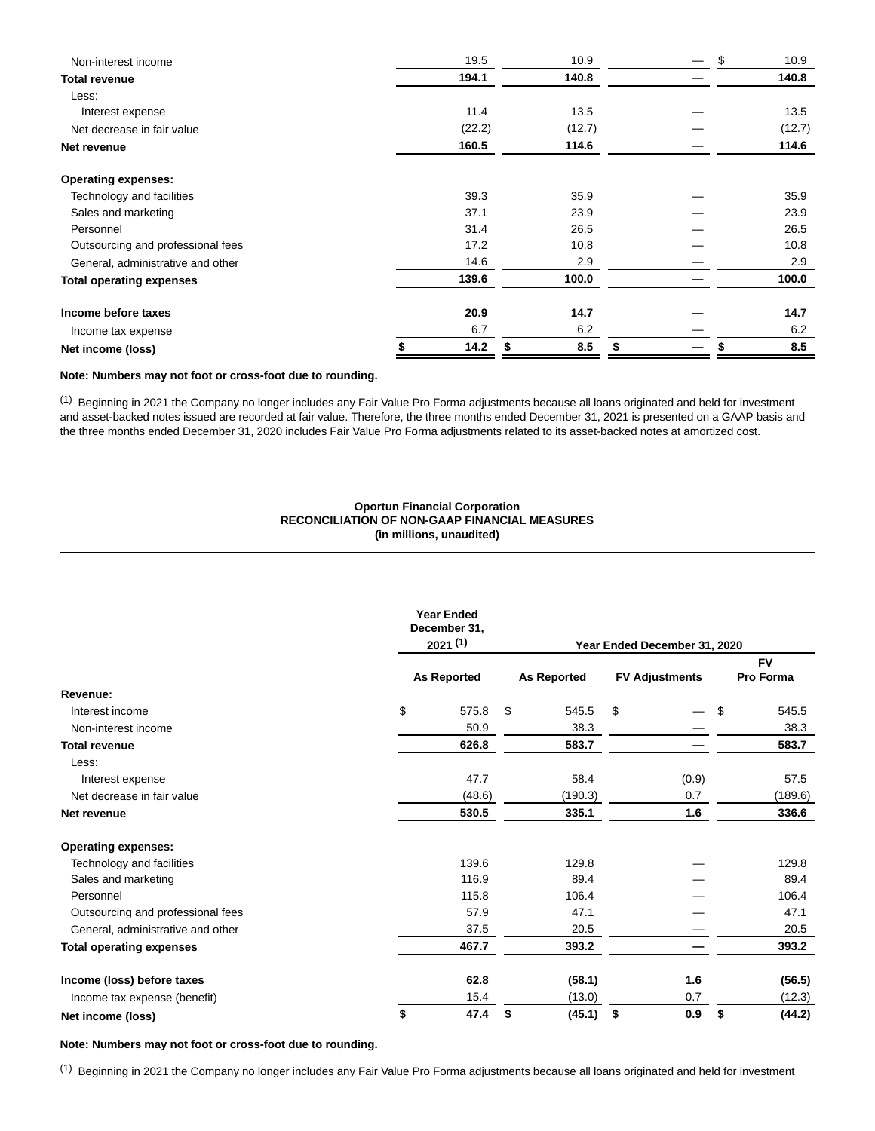| Non-interest income               | 19.5   | 10.9     | \$<br>10.9 |
|-----------------------------------|--------|----------|------------|
| <b>Total revenue</b>              | 194.1  | 140.8    | 140.8      |
| Less:                             |        |          |            |
| Interest expense                  | 11.4   | 13.5     | 13.5       |
| Net decrease in fair value        | (22.2) | (12.7)   | (12.7)     |
| Net revenue                       | 160.5  | 114.6    | 114.6      |
| <b>Operating expenses:</b>        |        |          |            |
| Technology and facilities         | 39.3   | 35.9     | 35.9       |
| Sales and marketing               | 37.1   | 23.9     | 23.9       |
| Personnel                         | 31.4   | 26.5     | 26.5       |
| Outsourcing and professional fees | 17.2   | 10.8     | 10.8       |
| General, administrative and other | 14.6   | 2.9      | 2.9        |
| <b>Total operating expenses</b>   | 139.6  | 100.0    | 100.0      |
| Income before taxes               | 20.9   | 14.7     | 14.7       |
| Income tax expense                | 6.7    | 6.2      | 6.2        |
| Net income (loss)                 | 14.2   | 8.5<br>æ | \$<br>8.5  |

(1) Beginning in 2021 the Company no longer includes any Fair Value Pro Forma adjustments because all loans originated and held for investment and asset-backed notes issued are recorded at fair value. Therefore, the three months ended December 31, 2021 is presented on a GAAP basis and the three months ended December 31, 2020 includes Fair Value Pro Forma adjustments related to its asset-backed notes at amortized cost.

# **Oportun Financial Corporation RECONCILIATION OF NON-GAAP FINANCIAL MEASURES (in millions, unaudited)**

|                                   | <b>Year Ended</b><br>December 31,<br>2021(1) |                    |                              |                               |
|-----------------------------------|----------------------------------------------|--------------------|------------------------------|-------------------------------|
|                                   |                                              |                    | Year Ended December 31, 2020 |                               |
|                                   | <b>As Reported</b>                           | <b>As Reported</b> | <b>FV Adjustments</b>        | <b>FV</b><br><b>Pro Forma</b> |
| Revenue:                          |                                              |                    |                              |                               |
| Interest income                   | \$<br>575.8                                  | \$<br>545.5        | \$                           | \$<br>545.5                   |
| Non-interest income               | 50.9                                         | 38.3               |                              | 38.3                          |
| <b>Total revenue</b>              | 626.8                                        | 583.7              |                              | 583.7                         |
| Less:                             |                                              |                    |                              |                               |
| Interest expense                  | 47.7                                         | 58.4               | (0.9)                        | 57.5                          |
| Net decrease in fair value        | (48.6)                                       | (190.3)            | 0.7                          | (189.6)                       |
| Net revenue                       | 530.5                                        | 335.1              | 1.6                          | 336.6                         |
| <b>Operating expenses:</b>        |                                              |                    |                              |                               |
| Technology and facilities         | 139.6                                        | 129.8              |                              | 129.8                         |
| Sales and marketing               | 116.9                                        | 89.4               |                              | 89.4                          |
| Personnel                         | 115.8                                        | 106.4              |                              | 106.4                         |
| Outsourcing and professional fees | 57.9                                         | 47.1               |                              | 47.1                          |
| General, administrative and other | 37.5                                         | 20.5               |                              | 20.5                          |
| <b>Total operating expenses</b>   | 467.7                                        | 393.2              |                              | 393.2                         |
| Income (loss) before taxes        | 62.8                                         | (58.1)             | 1.6                          | (56.5)                        |
| Income tax expense (benefit)      | 15.4                                         | (13.0)             | 0.7                          | (12.3)                        |
| Net income (loss)                 | 47.4                                         | \$<br>(45.1)       | 0.9<br>\$                    | \$<br>(44.2)                  |

**Note: Numbers may not foot or cross-foot due to rounding.**

(1) Beginning in 2021 the Company no longer includes any Fair Value Pro Forma adjustments because all loans originated and held for investment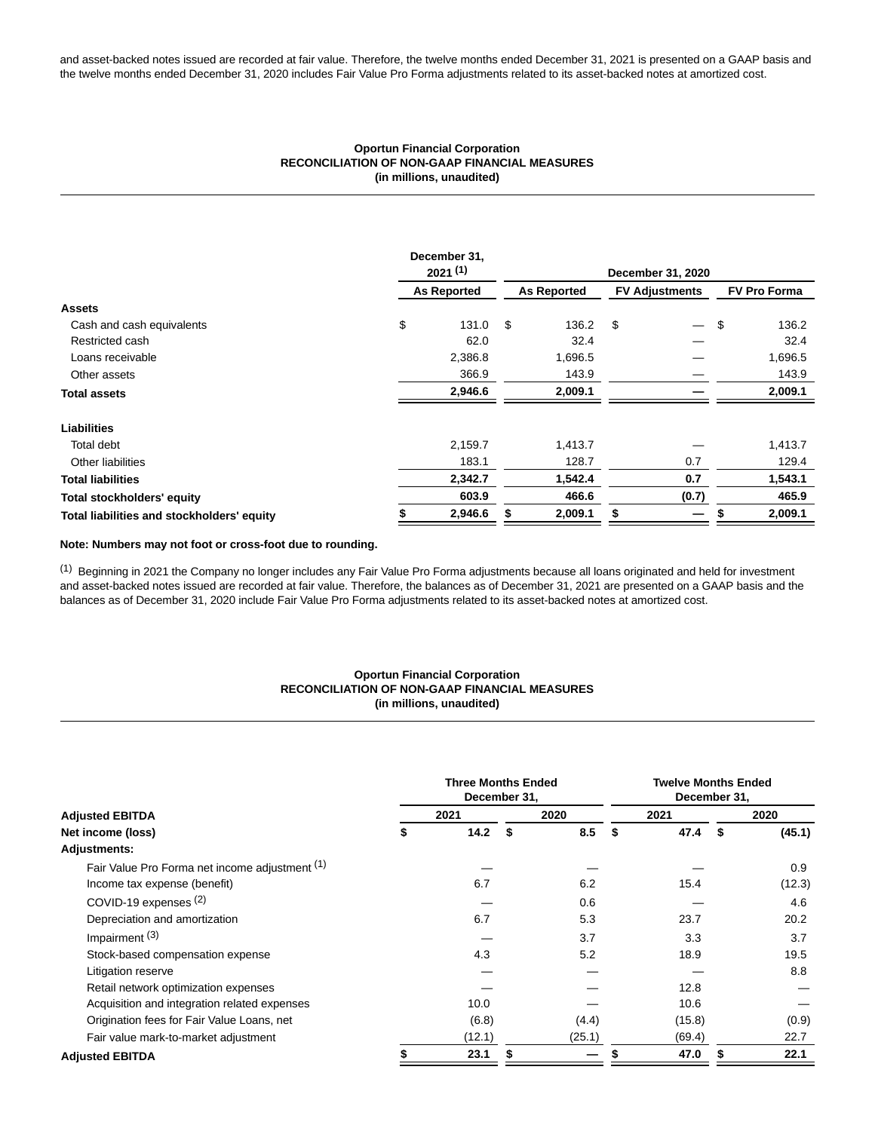and asset-backed notes issued are recorded at fair value. Therefore, the twelve months ended December 31, 2021 is presented on a GAAP basis and the twelve months ended December 31, 2020 includes Fair Value Pro Forma adjustments related to its asset-backed notes at amortized cost.

#### **Oportun Financial Corporation RECONCILIATION OF NON-GAAP FINANCIAL MEASURES (in millions, unaudited)**

|                                            | December 31,<br>2021(1)<br><b>As Reported</b> |         | December 31, 2020  |         |                       |          |                     |         |  |
|--------------------------------------------|-----------------------------------------------|---------|--------------------|---------|-----------------------|----------|---------------------|---------|--|
|                                            |                                               |         | <b>As Reported</b> |         | <b>FV Adjustments</b> |          | <b>FV Pro Forma</b> |         |  |
| <b>Assets</b>                              |                                               |         |                    |         |                       |          |                     |         |  |
| Cash and cash equivalents                  | \$                                            | 131.0   | \$                 | 136.2   | \$                    | $\equiv$ | \$                  | 136.2   |  |
| Restricted cash                            |                                               | 62.0    |                    | 32.4    |                       |          |                     | 32.4    |  |
| Loans receivable                           |                                               | 2,386.8 |                    | 1,696.5 |                       |          |                     | 1,696.5 |  |
| Other assets                               |                                               | 366.9   |                    | 143.9   |                       |          |                     | 143.9   |  |
| <b>Total assets</b>                        |                                               | 2,946.6 |                    | 2,009.1 |                       |          |                     | 2,009.1 |  |
| Liabilities                                |                                               |         |                    |         |                       |          |                     |         |  |
| Total debt                                 |                                               | 2,159.7 |                    | 1,413.7 |                       |          |                     | 1,413.7 |  |
| Other liabilities                          |                                               | 183.1   |                    | 128.7   |                       | 0.7      |                     | 129.4   |  |
| <b>Total liabilities</b>                   |                                               | 2,342.7 |                    | 1,542.4 |                       | 0.7      |                     | 1,543.1 |  |
| Total stockholders' equity                 |                                               | 603.9   |                    | 466.6   |                       | (0.7)    |                     | 465.9   |  |
| Total liabilities and stockholders' equity |                                               | 2,946.6 | S                  | 2,009.1 | \$                    |          |                     | 2,009.1 |  |

# **Note: Numbers may not foot or cross-foot due to rounding.**

(1) Beginning in 2021 the Company no longer includes any Fair Value Pro Forma adjustments because all loans originated and held for investment and asset-backed notes issued are recorded at fair value. Therefore, the balances as of December 31, 2021 are presented on a GAAP basis and the balances as of December 31, 2020 include Fair Value Pro Forma adjustments related to its asset-backed notes at amortized cost.

# **Oportun Financial Corporation RECONCILIATION OF NON-GAAP FINANCIAL MEASURES (in millions, unaudited)**

|                                                |      | <b>Three Months Ended</b><br>December 31, |  | <b>Twelve Months Ended</b><br>December 31, |  |        |    |        |  |
|------------------------------------------------|------|-------------------------------------------|--|--------------------------------------------|--|--------|----|--------|--|
| <b>Adjusted EBITDA</b>                         | 2021 |                                           |  | 2020                                       |  | 2021   |    | 2020   |  |
| Net income (loss)                              | S    | 14.2 <sup>5</sup>                         |  | 8.5                                        |  | 47.4   | \$ | (45.1) |  |
| <b>Adjustments:</b>                            |      |                                           |  |                                            |  |        |    |        |  |
| Fair Value Pro Forma net income adjustment (1) |      |                                           |  |                                            |  |        |    | 0.9    |  |
| Income tax expense (benefit)                   |      | 6.7                                       |  | 6.2                                        |  | 15.4   |    | (12.3) |  |
| COVID-19 expenses (2)                          |      |                                           |  | 0.6                                        |  |        |    | 4.6    |  |
| Depreciation and amortization                  |      | 6.7                                       |  | 5.3                                        |  | 23.7   |    | 20.2   |  |
| Impairment <sup>(3)</sup>                      |      |                                           |  | 3.7                                        |  | 3.3    |    | 3.7    |  |
| Stock-based compensation expense               |      | 4.3                                       |  | 5.2                                        |  | 18.9   |    | 19.5   |  |
| Litigation reserve                             |      |                                           |  |                                            |  |        |    | 8.8    |  |
| Retail network optimization expenses           |      |                                           |  |                                            |  | 12.8   |    |        |  |
| Acquisition and integration related expenses   |      | 10.0                                      |  |                                            |  | 10.6   |    |        |  |
| Origination fees for Fair Value Loans, net     |      | (6.8)                                     |  | (4.4)                                      |  | (15.8) |    | (0.9)  |  |
| Fair value mark-to-market adjustment           |      | (12.1)                                    |  | (25.1)                                     |  | (69.4) |    | 22.7   |  |
| <b>Adjusted EBITDA</b>                         |      | 23.1                                      |  |                                            |  | 47.0   |    | 22.1   |  |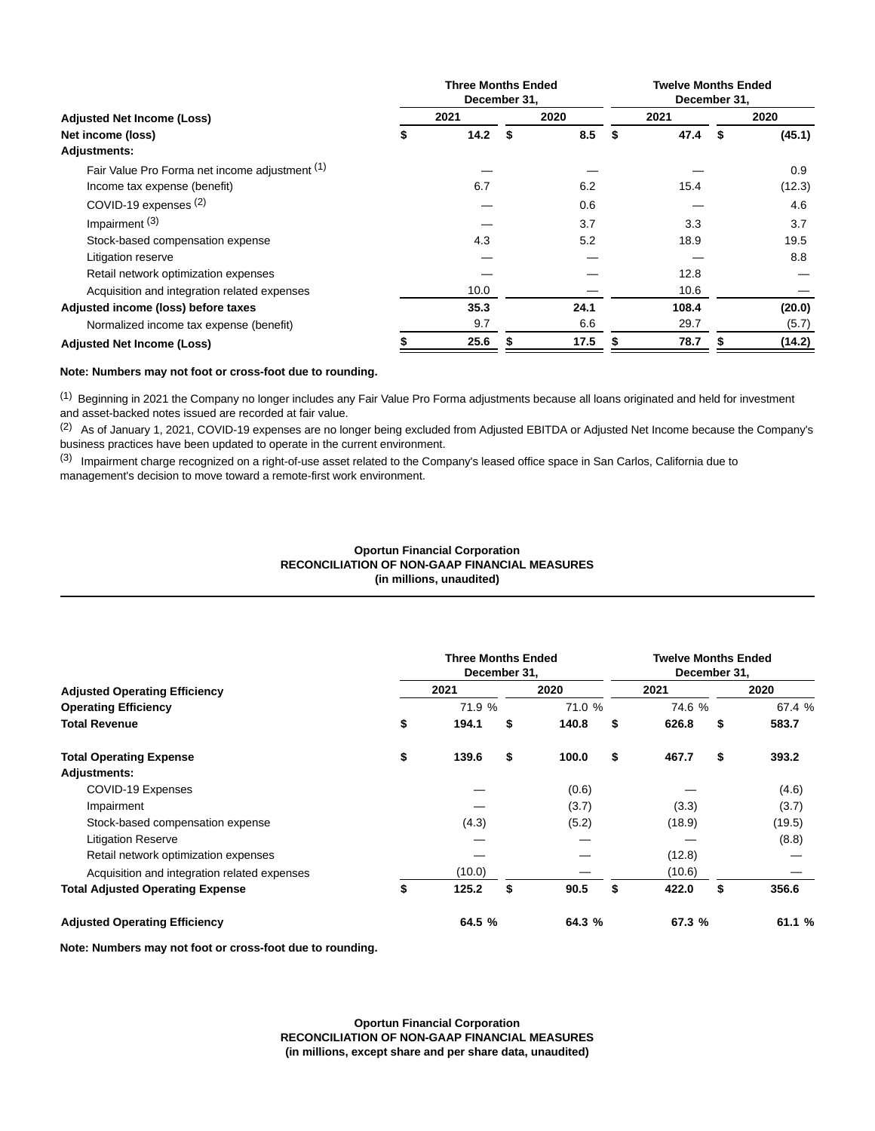|                                                | <b>Three Months Ended</b><br>December 31, |      |  |      |      | <b>Twelve Months Ended</b><br>December 31, |      |        |  |
|------------------------------------------------|-------------------------------------------|------|--|------|------|--------------------------------------------|------|--------|--|
| <b>Adjusted Net Income (Loss)</b>              | 2021                                      |      |  | 2020 | 2021 |                                            | 2020 |        |  |
| Net income (loss)                              | \$                                        | 14.2 |  | 8.5  |      | 47.4                                       | \$   | (45.1) |  |
| <b>Adjustments:</b>                            |                                           |      |  |      |      |                                            |      |        |  |
| Fair Value Pro Forma net income adjustment (1) |                                           |      |  |      |      |                                            |      | 0.9    |  |
| Income tax expense (benefit)                   |                                           | 6.7  |  | 6.2  |      | 15.4                                       |      | (12.3) |  |
| COVID-19 expenses (2)                          |                                           |      |  | 0.6  |      |                                            |      | 4.6    |  |
| Impairment $(3)$                               |                                           |      |  | 3.7  |      | 3.3                                        |      | 3.7    |  |
| Stock-based compensation expense               |                                           | 4.3  |  | 5.2  |      | 18.9                                       |      | 19.5   |  |
| Litigation reserve                             |                                           |      |  |      |      |                                            |      | 8.8    |  |
| Retail network optimization expenses           |                                           |      |  |      |      | 12.8                                       |      |        |  |
| Acquisition and integration related expenses   |                                           | 10.0 |  |      |      | 10.6                                       |      |        |  |
| Adjusted income (loss) before taxes            |                                           | 35.3 |  | 24.1 |      | 108.4                                      |      | (20.0) |  |
| Normalized income tax expense (benefit)        |                                           | 9.7  |  | 6.6  |      | 29.7                                       |      | (5.7)  |  |
| <b>Adjusted Net Income (Loss)</b>              |                                           | 25.6 |  | 17.5 |      | 78.7                                       |      | (14.2) |  |

(1) Beginning in 2021 the Company no longer includes any Fair Value Pro Forma adjustments because all loans originated and held for investment and asset-backed notes issued are recorded at fair value.

(2) As of January 1, 2021, COVID-19 expenses are no longer being excluded from Adjusted EBITDA or Adjusted Net Income because the Company's business practices have been updated to operate in the current environment.

(3) Impairment charge recognized on a right-of-use asset related to the Company's leased office space in San Carlos, California due to management's decision to move toward a remote-first work environment.

### **Oportun Financial Corporation RECONCILIATION OF NON-GAAP FINANCIAL MEASURES (in millions, unaudited)**

|                                              | <b>Three Months Ended</b><br>December 31, |    |        |    |        | <b>Twelve Months Ended</b><br>December 31, |        |  |  |
|----------------------------------------------|-------------------------------------------|----|--------|----|--------|--------------------------------------------|--------|--|--|
| <b>Adjusted Operating Efficiency</b>         | 2021                                      |    | 2020   |    | 2021   |                                            | 2020   |  |  |
| <b>Operating Efficiency</b>                  | 71.9 %                                    |    | 71.0 % |    | 74.6 % |                                            | 67.4 % |  |  |
| <b>Total Revenue</b>                         | \$<br>194.1                               | \$ | 140.8  | \$ | 626.8  | \$                                         | 583.7  |  |  |
| <b>Total Operating Expense</b>               | \$<br>139.6                               | \$ | 100.0  | \$ | 467.7  | \$                                         | 393.2  |  |  |
| <b>Adjustments:</b>                          |                                           |    |        |    |        |                                            |        |  |  |
| COVID-19 Expenses                            |                                           |    | (0.6)  |    |        |                                            | (4.6)  |  |  |
| Impairment                                   |                                           |    | (3.7)  |    | (3.3)  |                                            | (3.7)  |  |  |
| Stock-based compensation expense             | (4.3)                                     |    | (5.2)  |    | (18.9) |                                            | (19.5) |  |  |
| <b>Litigation Reserve</b>                    |                                           |    |        |    |        |                                            | (8.8)  |  |  |
| Retail network optimization expenses         |                                           |    |        |    | (12.8) |                                            |        |  |  |
| Acquisition and integration related expenses | (10.0)                                    |    |        |    | (10.6) |                                            |        |  |  |
| <b>Total Adjusted Operating Expense</b>      | \$<br>125.2                               | \$ | 90.5   | \$ | 422.0  | \$                                         | 356.6  |  |  |
| <b>Adjusted Operating Efficiency</b>         | 64.5 %                                    |    | 64.3 % |    | 67.3 % |                                            | 61.1 % |  |  |

**Note: Numbers may not foot or cross-foot due to rounding.**

**Oportun Financial Corporation RECONCILIATION OF NON-GAAP FINANCIAL MEASURES (in millions, except share and per share data, unaudited)**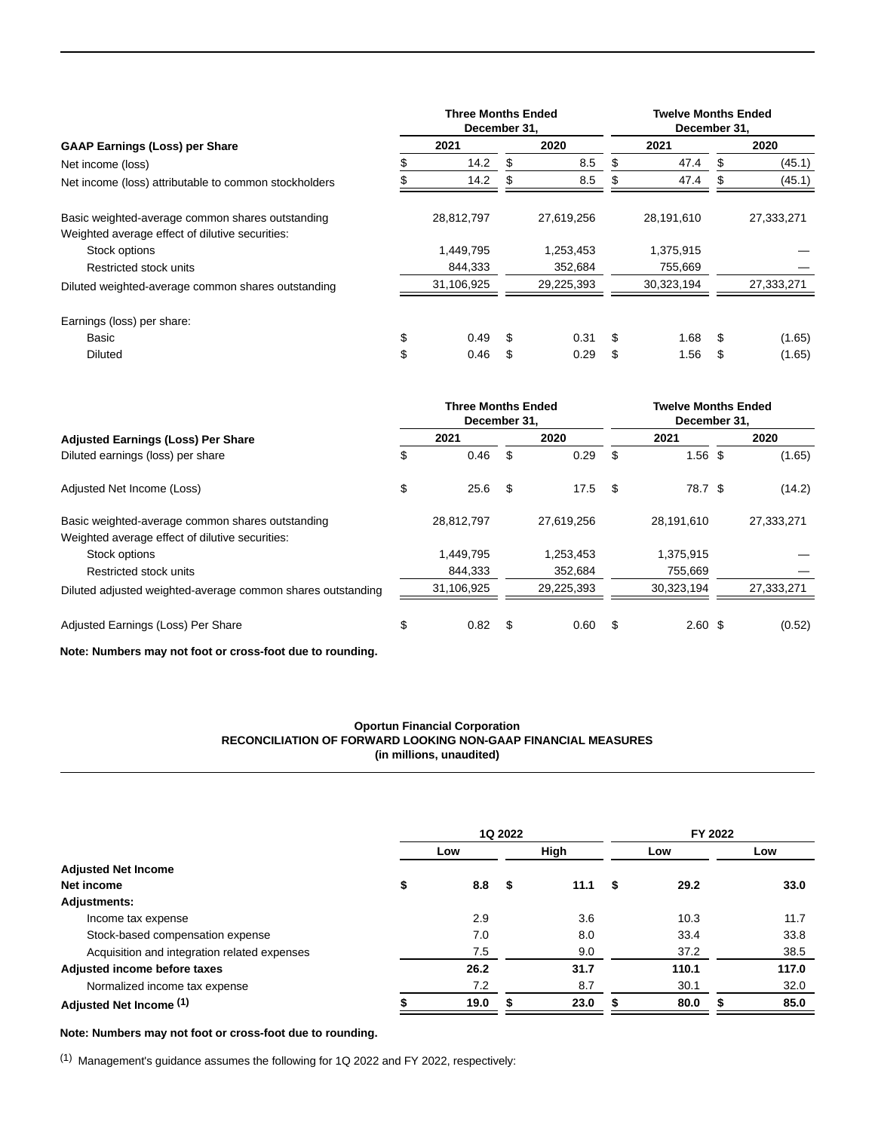|                                                                                                     | <b>Three Months Ended</b><br>December 31, |     | <b>Twelve Months Ended</b><br>December 31, |     |            |      |            |
|-----------------------------------------------------------------------------------------------------|-------------------------------------------|-----|--------------------------------------------|-----|------------|------|------------|
| <b>GAAP Earnings (Loss) per Share</b>                                                               | 2021                                      |     | 2020                                       |     | 2021       |      | 2020       |
| Net income (loss)                                                                                   | 14.2                                      | \$. | 8.5                                        | \$. | 47.4       | S    | (45.1)     |
| Net income (loss) attributable to common stockholders                                               | 14.2                                      |     | 8.5                                        |     | 47.4       | S    | (45.1)     |
| Basic weighted-average common shares outstanding<br>Weighted average effect of dilutive securities: | 28,812,797                                |     | 27,619,256                                 |     | 28,191,610 |      | 27,333,271 |
| Stock options                                                                                       | 1,449,795                                 |     | 1,253,453                                  |     | 1,375,915  |      |            |
| Restricted stock units                                                                              | 844,333                                   |     | 352,684                                    |     | 755,669    |      |            |
| Diluted weighted-average common shares outstanding                                                  | 31,106,925                                |     | 29,225,393                                 |     | 30,323,194 |      | 27,333,271 |
| Earnings (loss) per share:                                                                          |                                           |     |                                            |     |            |      |            |
| Basic                                                                                               | \$<br>0.49                                | \$. | 0.31                                       | \$. | 1.68       | - \$ | (1.65)     |
| <b>Diluted</b>                                                                                      | \$<br>0.46                                |     | 0.29                                       | S   | 1.56       | S    | (1.65)     |

|                                                                                                     | <b>Three Months Ended</b><br>December 31. |            |      |            |      | <b>Twelve Months Ended</b><br>December 31, |      |            |  |
|-----------------------------------------------------------------------------------------------------|-------------------------------------------|------------|------|------------|------|--------------------------------------------|------|------------|--|
| <b>Adjusted Earnings (Loss) Per Share</b>                                                           | 2021                                      |            | 2020 |            | 2021 |                                            | 2020 |            |  |
| Diluted earnings (loss) per share                                                                   | \$                                        | 0.46       | \$   | 0.29       | \$   | $1.56$ \$                                  |      | (1.65)     |  |
| Adjusted Net Income (Loss)                                                                          | \$                                        | 25.6       | -\$  | $17.5$ \$  |      | 78.7 \$                                    |      | (14.2)     |  |
| Basic weighted-average common shares outstanding<br>Weighted average effect of dilutive securities: |                                           | 28,812,797 |      | 27,619,256 |      | 28,191,610                                 |      | 27,333,271 |  |
| Stock options                                                                                       |                                           | 1,449,795  |      | 1,253,453  |      | 1,375,915                                  |      |            |  |
| Restricted stock units                                                                              |                                           | 844,333    |      | 352,684    |      | 755,669                                    |      |            |  |
| Diluted adjusted weighted-average common shares outstanding                                         |                                           | 31,106,925 |      | 29,225,393 |      | 30,323,194                                 |      | 27,333,271 |  |
| Adjusted Earnings (Loss) Per Share                                                                  | \$                                        | 0.82       | -S   | 0.60       | S    | 2.60 <sup>5</sup>                          |      | (0.52)     |  |

# **Oportun Financial Corporation RECONCILIATION OF FORWARD LOOKING NON-GAAP FINANCIAL MEASURES (in millions, unaudited)**

|                                              | 1Q 2022 |      |   | FY 2022     |   |       |  |       |
|----------------------------------------------|---------|------|---|-------------|---|-------|--|-------|
|                                              |         | Low  |   | <b>High</b> |   | Low   |  | Low   |
| <b>Adjusted Net Income</b>                   |         |      |   |             |   |       |  |       |
| Net income                                   | \$      | 8.8  | S | 11.1        | S | 29.2  |  | 33.0  |
| <b>Adjustments:</b>                          |         |      |   |             |   |       |  |       |
| Income tax expense                           |         | 2.9  |   | 3.6         |   | 10.3  |  | 11.7  |
| Stock-based compensation expense             |         | 7.0  |   | 8.0         |   | 33.4  |  | 33.8  |
| Acquisition and integration related expenses |         | 7.5  |   | 9.0         |   | 37.2  |  | 38.5  |
| Adjusted income before taxes                 |         | 26.2 |   | 31.7        |   | 110.1 |  | 117.0 |
| Normalized income tax expense                |         | 7.2  |   | 8.7         |   | 30.1  |  | 32.0  |
| Adjusted Net Income (1)                      |         | 19.0 |   | 23.0        |   | 80.0  |  | 85.0  |

**Note: Numbers may not foot or cross-foot due to rounding.**

(1) Management's guidance assumes the following for 1Q 2022 and FY 2022, respectively: